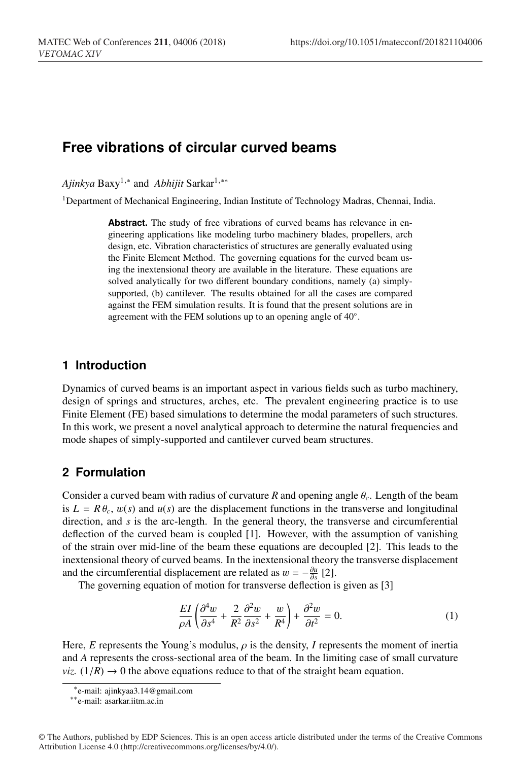# **Free vibrations of circular curved beams**

*Ajinkya* Baxy<sup>1,∗</sup> and *Abhijit* Sarkar<sup>1,</sup>\*\*

<sup>1</sup>Department of Mechanical Engineering, Indian Institute of Technology Madras, Chennai, India.

Abstract. The study of free vibrations of curved beams has relevance in engineering applications like modeling turbo machinery blades, propellers, arch design, etc. Vibration characteristics of structures are generally evaluated using the Finite Element Method. The governing equations for the curved beam using the inextensional theory are available in the literature. These equations are solved analytically for two different boundary conditions, namely (a) simplysupported, (b) cantilever. The results obtained for all the cases are compared against the FEM simulation results. It is found that the present solutions are in agreement with the FEM solutions up to an opening angle of 40◦.

# **1 Introduction**

Dynamics of curved beams is an important aspect in various fields such as turbo machinery, design of springs and structures, arches, etc. The prevalent engineering practice is to use Finite Element (FE) based simulations to determine the modal parameters of such structures. In this work, we present a novel analytical approach to determine the natural frequencies and mode shapes of simply-supported and cantilever curved beam structures.

# **2 Formulation**

Consider a curved beam with radius of curvature *R* and opening angle  $\theta_c$ . Length of the beam is  $L = R \theta_c$ ,  $w(s)$  and  $u(s)$  are the displacement functions in the transverse and longitudinal direction, and *s* is the arc-length. In the general theory, the transverse and circumferential deflection of the curved beam is coupled [1]. However, with the assumption of vanishing of the strain over mid-line of the beam these equations are decoupled [2]. This leads to the inextensional theory of curved beams. In the inextensional theory the transverse displacement and the circumferential displacement are related as  $w = -\frac{\partial u}{\partial s}$  [2].

The governing equation of motion for transverse deflection is given as [3]

$$
\frac{EI}{\rho A} \left( \frac{\partial^4 w}{\partial s^4} + \frac{2}{R^2} \frac{\partial^2 w}{\partial s^2} + \frac{w}{R^4} \right) + \frac{\partial^2 w}{\partial t^2} = 0.
$$
 (1)

Here, *E* represents the Young's modulus,  $\rho$  is the density, *I* represents the moment of inertia and *A* represents the cross-sectional area of the beam. In the limiting case of small curvature *viz.*  $(1/R) \rightarrow 0$  the above equations reduce to that of the straight beam equation.

<sup>∗</sup>e-mail: ajinkyaa3.14@gmail.com

<sup>∗∗</sup>e-mail: asarkar.iitm.ac.in

<sup>©</sup> The Authors, published by EDP Sciences. This is an open access article distributed under the terms of the Creative Commons Attribution License 4.0 (http://creativecommons.org/licenses/by/4.0/).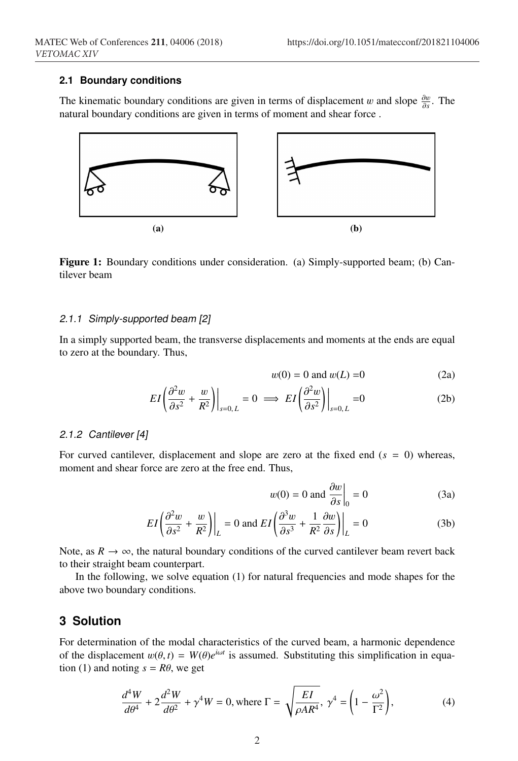#### **2.1 Boundary conditions**

The kinematic boundary conditions are given in terms of displacement w and slope  $\frac{\partial w}{\partial s}$ . The natural boundary conditions are given in terms of moment and shear force .



Figure 1: Boundary conditions under consideration. (a) Simply-supported beam; (b) Cantilever beam

#### *2.1.1 Simply-supported beam [2]*

In a simply supported beam, the transverse displacements and moments at the ends are equal to zero at the boundary. Thus,

$$
w(0) = 0 \text{ and } w(L) = 0 \tag{2a}
$$

$$
EI\left(\frac{\partial^2 w}{\partial s^2} + \frac{w}{R^2}\right)\Big|_{s=0,L} = 0 \implies EI\left(\frac{\partial^2 w}{\partial s^2}\right)\Big|_{s=0,L} = 0 \tag{2b}
$$

### *2.1.2 Cantilever [4]*

For curved cantilever, displacement and slope are zero at the fixed end (*s* = 0) whereas, moment and shear force are zero at the free end. Thus,

$$
w(0) = 0 \text{ and } \frac{\partial w}{\partial s}\Big|_{0} = 0 \tag{3a}
$$

$$
EI\left(\frac{\partial^2 w}{\partial s^2} + \frac{w}{R^2}\right)\Big|_L = 0 \text{ and } EI\left(\frac{\partial^3 w}{\partial s^3} + \frac{1}{R^2}\frac{\partial w}{\partial s}\right)\Big|_L = 0 \tag{3b}
$$

Note, as  $R \to \infty$ , the natural boundary conditions of the curved cantilever beam revert back to their straight beam counterpart.

In the following, we solve equation (1) for natural frequencies and mode shapes for the above two boundary conditions.

### **3 Solution**

For determination of the modal characteristics of the curved beam, a harmonic dependence of the displacement  $w(\theta, t) = W(\theta)e^{i\omega t}$  is assumed. Substituting this simplification in equation (1) and noting  $s = R\theta$ , we get

$$
\frac{d^4W}{d\theta^4} + 2\frac{d^2W}{d\theta^2} + \gamma^4W = 0, \text{ where } \Gamma = \sqrt{\frac{EI}{\rho AR^4}}, \ \gamma^4 = \left(1 - \frac{\omega^2}{\Gamma^2}\right),\tag{4}
$$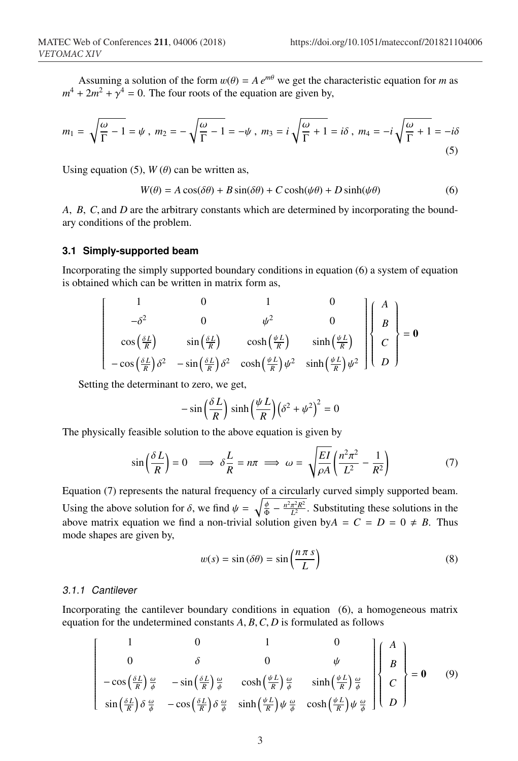Assuming a solution of the form  $w(\theta) = A e^{m\theta}$  we get the characteristic equation for *m* as  $m^4 + 2m^2 + \gamma^4 = 0$ . The four roots of the equation are given by,

$$
m_1 = \sqrt{\frac{\omega}{\Gamma} - 1} = \psi \ , \ m_2 = -\sqrt{\frac{\omega}{\Gamma} - 1} = -\psi \ , \ m_3 = i\sqrt{\frac{\omega}{\Gamma} + 1} = i\delta \ , \ m_4 = -i\sqrt{\frac{\omega}{\Gamma} + 1} = -i\delta \tag{5}
$$

Using equation (5),  $W(\theta)$  can be written as,

$$
W(\theta) = A\cos(\delta\theta) + B\sin(\delta\theta) + C\cosh(\psi\theta) + D\sinh(\psi\theta)
$$
 (6)

*A*, *B*, *C*, and *D* are the arbitrary constants which are determined by incorporating the boundary conditions of the problem.

#### **3.1 Simply-supported beam**

Incorporating the simply supported boundary conditions in equation (6) a system of equation is obtained which can be written in matrix form as,

$$
\begin{bmatrix}\n1 & 0 & 1 & 0 \\
-\delta^2 & 0 & \psi^2 & 0 \\
\cos\left(\frac{\delta L}{R}\right) & \sin\left(\frac{\delta L}{R}\right) & \cosh\left(\frac{\psi L}{R}\right) & \sinh\left(\frac{\psi L}{R}\right) \\
-\cos\left(\frac{\delta L}{R}\right)\delta^2 & -\sin\left(\frac{\delta L}{R}\right)\delta^2 & \cosh\left(\frac{\psi L}{R}\right)\psi^2 & \sinh\left(\frac{\psi L}{R}\right)\psi^2\n\end{bmatrix}\n\begin{bmatrix}\nA \\
B \\
C \\
D\n\end{bmatrix} = \mathbf{0}
$$

Setting the determinant to zero, we get,

$$
-\sin\left(\frac{\delta L}{R}\right)\sinh\left(\frac{\psi L}{R}\right)\left(\delta^2+\psi^2\right)^2=0
$$

The physically feasible solution to the above equation is given by

$$
\sin\left(\frac{\delta L}{R}\right) = 0 \implies \delta \frac{L}{R} = n\pi \implies \omega = \sqrt{\frac{EI}{\rho A}} \left(\frac{n^2 \pi^2}{L^2} - \frac{1}{R^2}\right) \tag{7}
$$

Equation (7) represents the natural frequency of a circularly curved simply supported beam. Using the above solution for  $\delta$ , we find  $\psi = \sqrt{\frac{\phi}{\Phi} - \frac{n^2 \pi^2 R^2}{L^2}}$ . Substituting these solutions in the above matrix equation we find a non-trivial solution given by $A = C = D = 0 \neq B$ . Thus mode shapes are given by,

$$
w(s) = \sin(\delta\theta) = \sin\left(\frac{n\pi s}{L}\right)
$$
 (8)

### *3.1.1 Cantilever*

Incorporating the cantilever boundary conditions in equation (6), a homogeneous matrix equation for the undetermined constants *A*, *B*,*C*, *D* is formulated as follows

$$
\begin{bmatrix}\n1 & 0 & 1 & 0 \\
0 & \delta & 0 & \psi \\
-\cos\left(\frac{\delta L}{R}\right)\frac{\omega}{\phi} & -\sin\left(\frac{\delta L}{R}\right)\frac{\omega}{\phi} & \cosh\left(\frac{\psi L}{R}\right)\frac{\omega}{\phi} & \sinh\left(\frac{\psi L}{R}\right)\frac{\omega}{\phi} \\
\sin\left(\frac{\delta L}{R}\right)\delta\frac{\omega}{\phi} & -\cos\left(\frac{\delta L}{R}\right)\delta\frac{\omega}{\phi} & \sinh\left(\frac{\psi L}{R}\right)\psi\frac{\omega}{\phi} & \cosh\left(\frac{\psi L}{R}\right)\psi\frac{\omega}{\phi}\n\end{bmatrix} = \mathbf{0} \qquad (9)
$$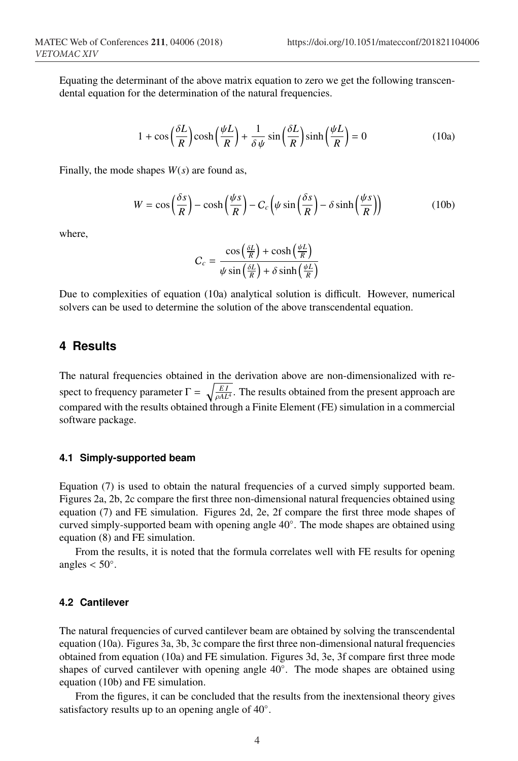Equating the determinant of the above matrix equation to zero we get the following transcendental equation for the determination of the natural frequencies.

$$
1 + \cos\left(\frac{\delta L}{R}\right)\cosh\left(\frac{\psi L}{R}\right) + \frac{1}{\delta \psi}\sin\left(\frac{\delta L}{R}\right)\sinh\left(\frac{\psi L}{R}\right) = 0\tag{10a}
$$

Finally, the mode shapes *W*(*s*) are found as,

$$
W = \cos\left(\frac{\delta s}{R}\right) - \cosh\left(\frac{\psi s}{R}\right) - C_c \left(\psi \sin\left(\frac{\delta s}{R}\right) - \delta \sinh\left(\frac{\psi s}{R}\right)\right) \tag{10b}
$$

where,

$$
C_c = \frac{\cos\left(\frac{\delta L}{R}\right) + \cosh\left(\frac{\psi L}{R}\right)}{\psi \sin\left(\frac{\delta L}{R}\right) + \delta \sinh\left(\frac{\psi L}{R}\right)}
$$

Due to complexities of equation (10a) analytical solution is difficult. However, numerical solvers can be used to determine the solution of the above transcendental equation.

### **4 Results**

The natural frequencies obtained in the derivation above are non-dimensionalized with respect to frequency parameter  $\Gamma = \sqrt{\frac{EI}{\rho A L^4}}$ . The results obtained from the present approach are compared with the results obtained through a Finite Element (FE) simulation in a commercial software package.

### **4.1 Simply-supported beam**

Equation (7) is used to obtain the natural frequencies of a curved simply supported beam. Figures 2a, 2b, 2c compare the first three non-dimensional natural frequencies obtained using equation (7) and FE simulation. Figures 2d, 2e, 2f compare the first three mode shapes of curved simply-supported beam with opening angle 40◦. The mode shapes are obtained using equation (8) and FE simulation.

From the results, it is noted that the formula correlates well with FE results for opening angles  $< 50^\circ$ .

### **4.2 Cantilever**

The natural frequencies of curved cantilever beam are obtained by solving the transcendental equation (10a). Figures 3a, 3b, 3c compare the first three non-dimensional natural frequencies obtained from equation (10a) and FE simulation. Figures 3d, 3e, 3f compare first three mode shapes of curved cantilever with opening angle 40◦. The mode shapes are obtained using equation (10b) and FE simulation.

From the figures, it can be concluded that the results from the inextensional theory gives satisfactory results up to an opening angle of 40◦.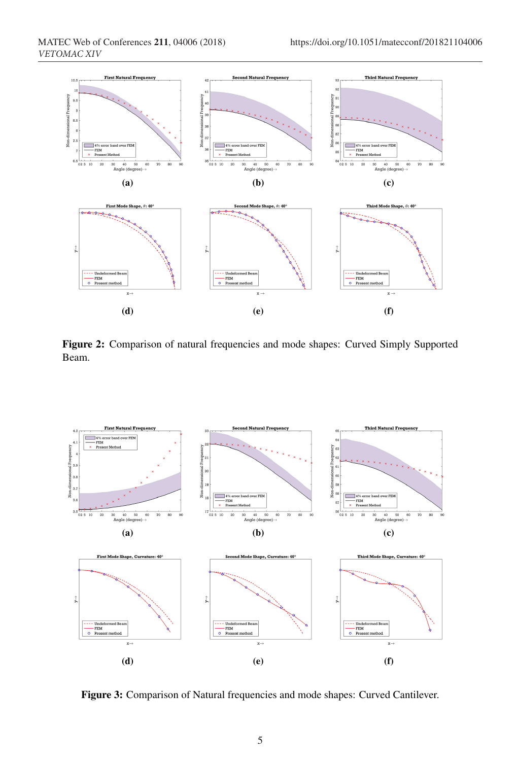

Figure 2: Comparison of natural frequencies and mode shapes: Curved Simply Supported Beam.



Figure 3: Comparison of Natural frequencies and mode shapes: Curved Cantilever.